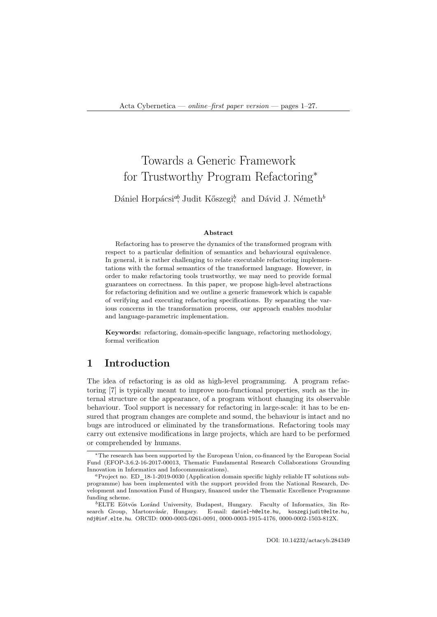# Towards a Generic Framework for Trustworthy Program Refactoring<sup>∗</sup>

Dániel Horpácsi<sup>ab</sup>, Judit Kőszegi<sup>b</sup>, and Dávid J. Németh<sup>b</sup>

#### Abstract

Refactoring has to preserve the dynamics of the transformed program with respect to a particular definition of semantics and behavioural equivalence. In general, it is rather challenging to relate executable refactoring implementations with the formal semantics of the transformed language. However, in order to make refactoring tools trustworthy, we may need to provide formal guarantees on correctness. In this paper, we propose high-level abstractions for refactoring definition and we outline a generic framework which is capable of verifying and executing refactoring specifications. By separating the various concerns in the transformation process, our approach enables modular and language-parametric implementation.

Keywords: refactoring, domain-specific language, refactoring methodology, formal verification

# 1 Introduction

The idea of refactoring is as old as high-level programming. A program refactoring [7] is typically meant to improve non-functional properties, such as the internal structure or the appearance, of a program without changing its observable behaviour. Tool support is necessary for refactoring in large-scale: it has to be ensured that program changes are complete and sound, the behaviour is intact and no bugs are introduced or eliminated by the transformations. Refactoring tools may carry out extensive modifications in large projects, which are hard to be performed or comprehended by humans.

<sup>∗</sup>The research has been supported by the European Union, co-financed by the European Social Fund (EFOP-3.6.2-16-2017-00013, Thematic Fundamental Research Collaborations Grounding Innovation in Informatics and Infocommunications).

<sup>a</sup>Project no. ED 18-1-2019-0030 (Application domain specific highly reliable IT solutions subprogramme) has been implemented with the support provided from the National Research, Development and Innovation Fund of Hungary, financed under the Thematic Excellence Programme funding scheme.

 ${}^{b}$ ELTE Eötvös Loránd University, Budapest, Hungary. Faculty of Informatics, 3in Research Group, Martonvásár, Hungary. E-mail: daniel-h@elte.hu, koszegijudit@elte.hu, E-mail: daniel-h@elte.hu, koszegijudit@elte.hu, ndj@inf.elte.hu. ORCID: 0000-0003-0261-0091, 0000-0003-1915-4176, 0000-0002-1503-812X.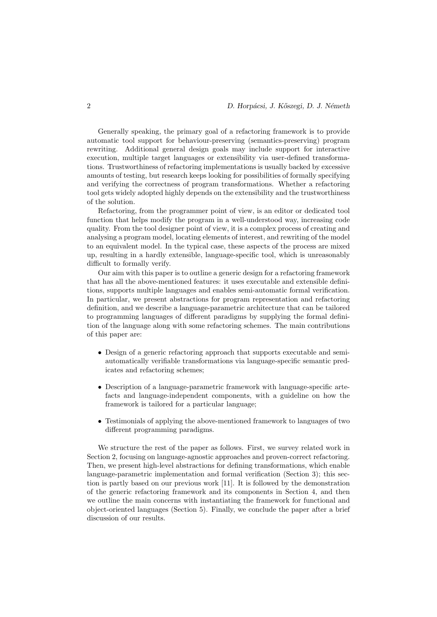Generally speaking, the primary goal of a refactoring framework is to provide automatic tool support for behaviour-preserving (semantics-preserving) program rewriting. Additional general design goals may include support for interactive execution, multiple target languages or extensibility via user-defined transformations. Trustworthiness of refactoring implementations is usually backed by excessive amounts of testing, but research keeps looking for possibilities of formally specifying and verifying the correctness of program transformations. Whether a refactoring tool gets widely adopted highly depends on the extensibility and the trustworthiness of the solution.

Refactoring, from the programmer point of view, is an editor or dedicated tool function that helps modify the program in a well-understood way, increasing code quality. From the tool designer point of view, it is a complex process of creating and analysing a program model, locating elements of interest, and rewriting of the model to an equivalent model. In the typical case, these aspects of the process are mixed up, resulting in a hardly extensible, language-specific tool, which is unreasonably difficult to formally verify.

Our aim with this paper is to outline a generic design for a refactoring framework that has all the above-mentioned features: it uses executable and extensible definitions, supports multiple languages and enables semi-automatic formal verification. In particular, we present abstractions for program representation and refactoring definition, and we describe a language-parametric architecture that can be tailored to programming languages of different paradigms by supplying the formal definition of the language along with some refactoring schemes. The main contributions of this paper are:

- Design of a generic refactoring approach that supports executable and semiautomatically verifiable transformations via language-specific semantic predicates and refactoring schemes;
- Description of a language-parametric framework with language-specific artefacts and language-independent components, with a guideline on how the framework is tailored for a particular language;
- Testimonials of applying the above-mentioned framework to languages of two different programming paradigms.

We structure the rest of the paper as follows. First, we survey related work in Section 2, focusing on language-agnostic approaches and proven-correct refactoring. Then, we present high-level abstractions for defining transformations, which enable language-parametric implementation and formal verification (Section 3); this section is partly based on our previous work [11]. It is followed by the demonstration of the generic refactoring framework and its components in Section 4, and then we outline the main concerns with instantiating the framework for functional and object-oriented languages (Section 5). Finally, we conclude the paper after a brief discussion of our results.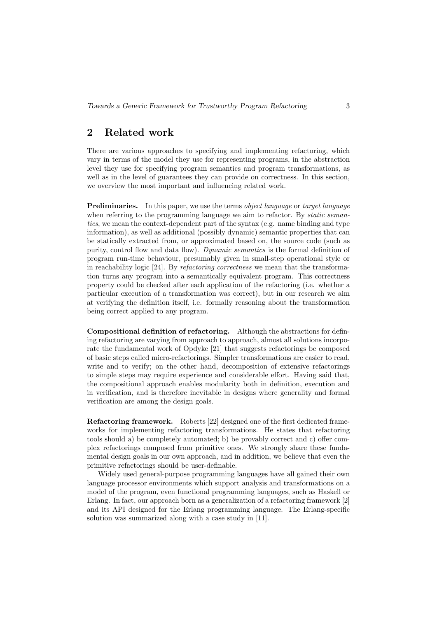# 2 Related work

There are various approaches to specifying and implementing refactoring, which vary in terms of the model they use for representing programs, in the abstraction level they use for specifying program semantics and program transformations, as well as in the level of guarantees they can provide on correctness. In this section, we overview the most important and influencing related work.

**Preliminaries.** In this paper, we use the terms *object language* or *target language* when referring to the programming language we aim to refactor. By *static seman*tics, we mean the context-dependent part of the syntax (e.g. name binding and type information), as well as additional (possibly dynamic) semantic properties that can be statically extracted from, or approximated based on, the source code (such as purity, control flow and data flow). Dynamic semantics is the formal definition of program run-time behaviour, presumably given in small-step operational style or in reachability logic [24]. By refactoring correctness we mean that the transformation turns any program into a semantically equivalent program. This correctness property could be checked after each application of the refactoring (i.e. whether a particular execution of a transformation was correct), but in our research we aim at verifying the definition itself, i.e. formally reasoning about the transformation being correct applied to any program.

Compositional definition of refactoring. Although the abstractions for defining refactoring are varying from approach to approach, almost all solutions incorporate the fundamental work of Opdyke [21] that suggests refactorings be composed of basic steps called micro-refactorings. Simpler transformations are easier to read, write and to verify; on the other hand, decomposition of extensive refactorings to simple steps may require experience and considerable effort. Having said that, the compositional approach enables modularity both in definition, execution and in verification, and is therefore inevitable in designs where generality and formal verification are among the design goals.

Refactoring framework. Roberts [22] designed one of the first dedicated frameworks for implementing refactoring transformations. He states that refactoring tools should a) be completely automated; b) be provably correct and c) offer complex refactorings composed from primitive ones. We strongly share these fundamental design goals in our own approach, and in addition, we believe that even the primitive refactorings should be user-definable.

Widely used general-purpose programming languages have all gained their own language processor environments which support analysis and transformations on a model of the program, even functional programming languages, such as Haskell or Erlang. In fact, our approach born as a generalization of a refactoring framework [2] and its API designed for the Erlang programming language. The Erlang-specific solution was summarized along with a case study in [11].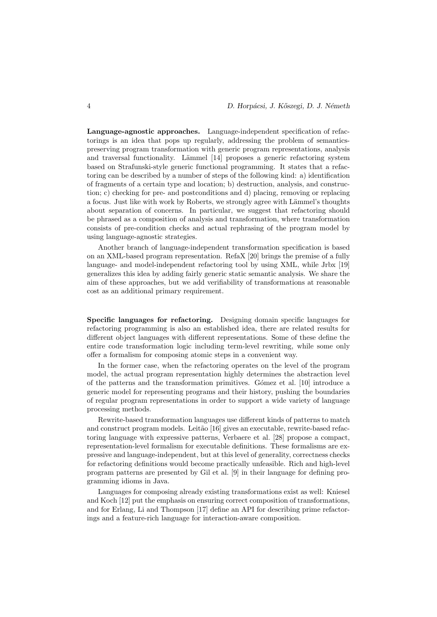Language-agnostic approaches. Language-independent specification of refactorings is an idea that pops up regularly, addressing the problem of semanticspreserving program transformation with generic program representations, analysis and traversal functionality. Lämmel [14] proposes a generic refactoring system based on Strafunski-style generic functional programming. It states that a refactoring can be described by a number of steps of the following kind: a) identification of fragments of a certain type and location; b) destruction, analysis, and construction; c) checking for pre- and postconditions and d) placing, removing or replacing a focus. Just like with work by Roberts, we strongly agree with Lämmel's thoughts about separation of concerns. In particular, we suggest that refactoring should be phrased as a composition of analysis and transformation, where transformation consists of pre-condition checks and actual rephrasing of the program model by using language-agnostic strategies.

Another branch of language-independent transformation specification is based on an XML-based program representation. RefaX [20] brings the premise of a fully language- and model-independent refactoring tool by using XML, while Jrbx [19] generalizes this idea by adding fairly generic static semantic analysis. We share the aim of these approaches, but we add verifiability of transformations at reasonable cost as an additional primary requirement.

Specific languages for refactoring. Designing domain specific languages for refactoring programming is also an established idea, there are related results for different object languages with different representations. Some of these define the entire code transformation logic including term-level rewriting, while some only offer a formalism for composing atomic steps in a convenient way.

In the former case, when the refactoring operates on the level of the program model, the actual program representation highly determines the abstraction level of the patterns and the transformation primitives. G´omez et al. [10] introduce a generic model for representing programs and their history, pushing the boundaries of regular program representations in order to support a wide variety of language processing methods.

Rewrite-based transformation languages use different kinds of patterns to match and construct program models. Leitão [16] gives an executable, rewrite-based refactoring language with expressive patterns, Verbaere et al. [28] propose a compact, representation-level formalism for executable definitions. These formalisms are expressive and language-independent, but at this level of generality, correctness checks for refactoring definitions would become practically unfeasible. Rich and high-level program patterns are presented by Gil et al. [9] in their language for defining programming idioms in Java.

Languages for composing already existing transformations exist as well: Kniesel and Koch [12] put the emphasis on ensuring correct composition of transformations, and for Erlang, Li and Thompson [17] define an API for describing prime refactorings and a feature-rich language for interaction-aware composition.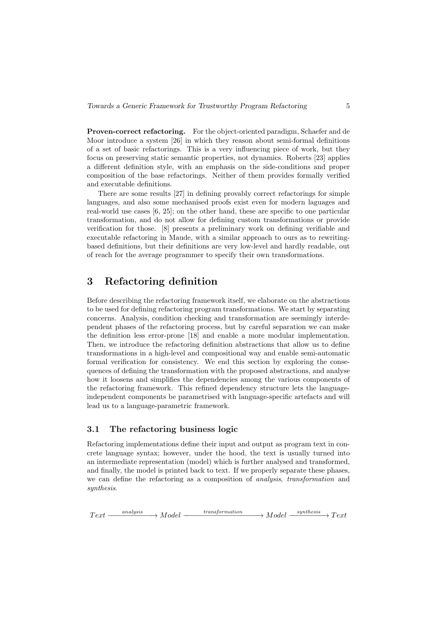Proven-correct refactoring. For the object-oriented paradigm, Schaefer and de Moor introduce a system [26] in which they reason about semi-formal definitions of a set of basic refactorings. This is a very influencing piece of work, but they focus on preserving static semantic properties, not dynamics. Roberts [23] applies a different definition style, with an emphasis on the side-conditions and proper composition of the base refactorings. Neither of them provides formally verified and executable definitions.

There are some results [27] in defining provably correct refactorings for simple languages, and also some mechanised proofs exist even for modern laguages and real-world use cases [6, 25]; on the other hand, these are specific to one particular transformation, and do not allow for defining custom transformations or provide verification for those. [8] presents a preliminary work on defining verifiable and executable refactoring in Maude, with a similar approach to ours as to rewritingbased definitions, but their definitions are very low-level and hardly readable, out of reach for the average programmer to specify their own transformations.

# 3 Refactoring definition

Before describing the refactoring framework itself, we elaborate on the abstractions to be used for defining refactoring program transformations. We start by separating concerns. Analysis, condition checking and transformation are seemingly interdependent phases of the refactoring process, but by careful separation we can make the definition less error-prone [18] and enable a more modular implementation. Then, we introduce the refactoring definition abstractions that allow us to define transformations in a high-level and compositional way and enable semi-automatic formal verification for consistency. We end this section by exploring the consequences of defining the transformation with the proposed abstractions, and analyse how it loosens and simplifies the dependencies among the various components of the refactoring framework. This refined dependency structure lets the languageindependent components be parametrised with language-specific artefacts and will lead us to a language-parametric framework.

# 3.1 The refactoring business logic

Refactoring implementations define their input and output as program text in concrete language syntax; however, under the hood, the text is usually turned into an intermediate representation (model) which is further analysed and transformed, and finally, the model is printed back to text. If we properly separate these phases, we can define the refactoring as a composition of analysis, transformation and synthesis.

 $Text \longrightarrow Model$   $\longrightarrow$  $\longleftarrow$  transformation  $\longrightarrow Model \xrightarrow{synthesis} Text$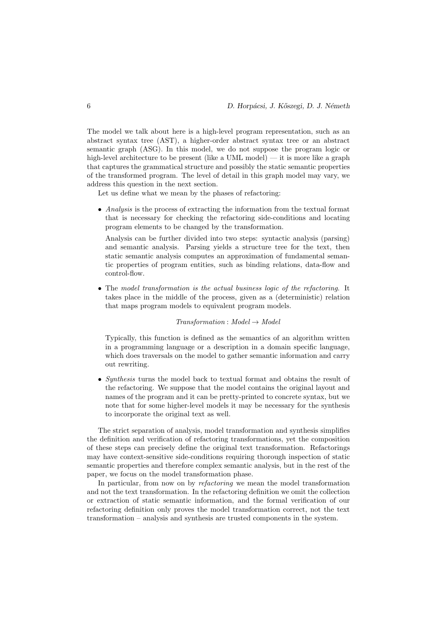The model we talk about here is a high-level program representation, such as an abstract syntax tree (AST), a higher-order abstract syntax tree or an abstract semantic graph (ASG). In this model, we do not suppose the program logic or high-level architecture to be present (like a UML model) — it is more like a graph that captures the grammatical structure and possibly the static semantic properties of the transformed program. The level of detail in this graph model may vary, we address this question in the next section.

Let us define what we mean by the phases of refactoring:

• Analysis is the process of extracting the information from the textual format that is necessary for checking the refactoring side-conditions and locating program elements to be changed by the transformation.

Analysis can be further divided into two steps: syntactic analysis (parsing) and semantic analysis. Parsing yields a structure tree for the text, then static semantic analysis computes an approximation of fundamental semantic properties of program entities, such as binding relations, data-flow and control-flow.

• The model transformation is the actual business logic of the refactoring. It takes place in the middle of the process, given as a (deterministic) relation that maps program models to equivalent program models.

#### $Transformation: Model \rightarrow Model$

Typically, this function is defined as the semantics of an algorithm written in a programming language or a description in a domain specific language, which does traversals on the model to gather semantic information and carry out rewriting.

• Synthesis turns the model back to textual format and obtains the result of the refactoring. We suppose that the model contains the original layout and names of the program and it can be pretty-printed to concrete syntax, but we note that for some higher-level models it may be necessary for the synthesis to incorporate the original text as well.

The strict separation of analysis, model transformation and synthesis simplifies the definition and verification of refactoring transformations, yet the composition of these steps can precisely define the original text transformation. Refactorings may have context-sensitive side-conditions requiring thorough inspection of static semantic properties and therefore complex semantic analysis, but in the rest of the paper, we focus on the model transformation phase.

In particular, from now on by refactoring we mean the model transformation and not the text transformation. In the refactoring definition we omit the collection or extraction of static semantic information, and the formal verification of our refactoring definition only proves the model transformation correct, not the text transformation – analysis and synthesis are trusted components in the system.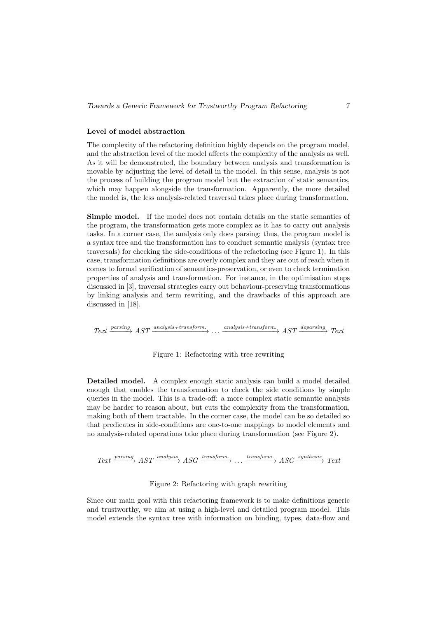### Level of model abstraction

The complexity of the refactoring definition highly depends on the program model, and the abstraction level of the model affects the complexity of the analysis as well. As it will be demonstrated, the boundary between analysis and transformation is movable by adjusting the level of detail in the model. In this sense, analysis is not the process of building the program model but the extraction of static semantics, which may happen alongside the transformation. Apparently, the more detailed the model is, the less analysis-related traversal takes place during transformation.

Simple model. If the model does not contain details on the static semantics of the program, the transformation gets more complex as it has to carry out analysis tasks. In a corner case, the analysis only does parsing; thus, the program model is a syntax tree and the transformation has to conduct semantic analysis (syntax tree traversals) for checking the side-conditions of the refactoring (see Figure 1). In this case, transformation definitions are overly complex and they are out of reach when it comes to formal verification of semantics-preservation, or even to check termination properties of analysis and transformation. For instance, in the optimisation steps discussed in [3], traversal strategies carry out behaviour-preserving transformations by linking analysis and term rewriting, and the drawbacks of this approach are discussed in [18].

 $Text \xrightarrow{parsing} AST \xrightarrow{analysis + transform.} \dots \xrightarrow{analysis + transform.} AST \xrightarrow{deparsing} Text$ 

#### Figure 1: Refactoring with tree rewriting

Detailed model. A complex enough static analysis can build a model detailed enough that enables the transformation to check the side conditions by simple queries in the model. This is a trade-off: a more complex static semantic analysis may be harder to reason about, but cuts the complexity from the transformation, making both of them tractable. In the corner case, the model can be so detailed so that predicates in side-conditions are one-to-one mappings to model elements and no analysis-related operations take place during transformation (see Figure 2).

 $Text \xrightarrow{parsing} AST \xrightarrow{analysis} ASC \xrightarrow{transform.} \dots \xrightarrow{transform.} ASC \xrightarrow{synthesis} Text$ 

#### Figure 2: Refactoring with graph rewriting

Since our main goal with this refactoring framework is to make definitions generic and trustworthy, we aim at using a high-level and detailed program model. This model extends the syntax tree with information on binding, types, data-flow and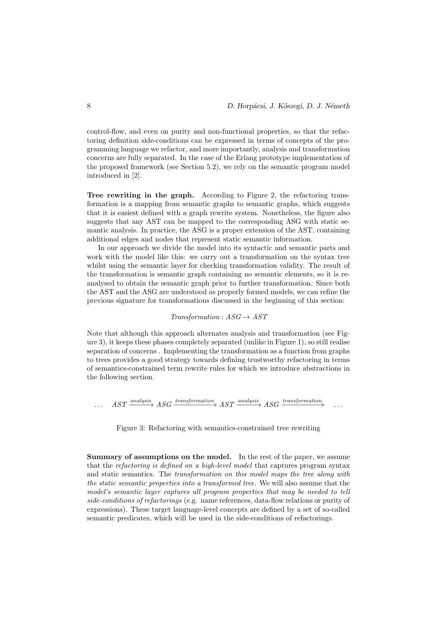control-flow, and even on purity and non-functional properties, so that the refactoring definition side-conditions can be expressed in terms of concepts of the programming language we refactor, and more importantly, analysis and transformation concerns are fully separated. In the case of the Erlang prototype implementation of the proposed framework (see Section 5.2), we rely on the semantic program model introduced in [2].

Tree rewriting in the graph. According to Figure 2, the refactoring transformation is a mapping from semantic graphs to semantic graphs, which suggests that it is easiest defined with a graph rewrite system. Nonetheless, the figure also suggests that any AST can be mapped to the corresponding ASG with static semantic analysis. In practice, the ASG is a proper extension of the AST, containing additional edges and nodes that represent static semantic information.

In our approach we divide the model into its syntactic and semantic parts and work with the model like this: we carry out a transformation on the syntax tree whilst using the semantic layer for checking transformation validity. The result of the transformation is semantic graph containing no semantic elements, so it is reanalysed to obtain the semantic graph prior to further transformation. Since both the AST and the ASG are understood as properly formed models, we can refine the previous signature for transformations discussed in the beginning of this section:

 $Transformation: ASG \rightarrow AST$ 

Note that although this approach alternates analysis and transformation (see Figure 3), it keeps these phases completely separated (unlike in Figure 1), so still realise separation of concerns . Implementing the transformation as a function from graphs to trees provides a good strategy towards defining trustworthy refactoring in terms of semantics-constrained term rewrite rules for which we introduce abstractions in the following section.

 $\ldots \quad AST \xrightarrow{analysis} ASG \xrightarrow{transformation} AST \xrightarrow{analysis} ASG \xrightarrow{transformation} \ldots$ 

Figure 3: Refactoring with semantics-constrained tree rewriting

Summary of assumptions on the model. In the rest of the paper, we assume that the refactoring is defined on a high-level model that captures program syntax and static semantics. The transformation on this model maps the tree along with the static semantic properties into a transformed tree. We will also assume that the model's semantic layer captures all program properties that may be needed to tell side-conditions of refactorings (e.g. name references, data-flow relations or purity of expressions). These target language-level concepts are defined by a set of so-called semantic predicates, which will be used in the side-conditions of refactorings.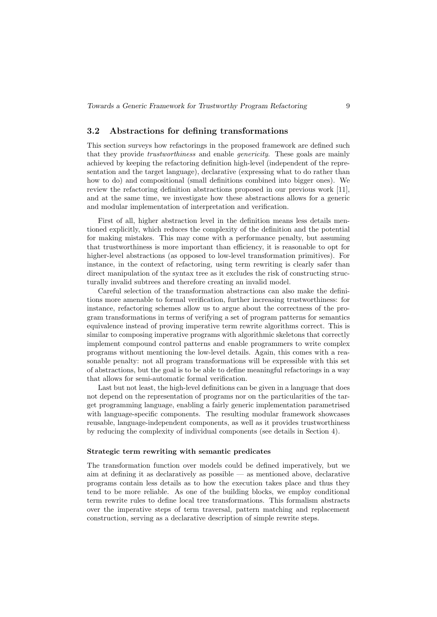# 3.2 Abstractions for defining transformations

This section surveys how refactorings in the proposed framework are defined such that they provide trustworthiness and enable genericity. These goals are mainly achieved by keeping the refactoring definition high-level (independent of the representation and the target language), declarative (expressing what to do rather than how to do) and compositional (small definitions combined into bigger ones). We review the refactoring definition abstractions proposed in our previous work [11], and at the same time, we investigate how these abstractions allows for a generic and modular implementation of interpretation and verification.

First of all, higher abstraction level in the definition means less details mentioned explicitly, which reduces the complexity of the definition and the potential for making mistakes. This may come with a performance penalty, but assuming that trustworthiness is more important than efficiency, it is reasonable to opt for higher-level abstractions (as opposed to low-level transformation primitives). For instance, in the context of refactoring, using term rewriting is clearly safer than direct manipulation of the syntax tree as it excludes the risk of constructing structurally invalid subtrees and therefore creating an invalid model.

Careful selection of the transformation abstractions can also make the definitions more amenable to formal verification, further increasing trustworthiness: for instance, refactoring schemes allow us to argue about the correctness of the program transformations in terms of verifying a set of program patterns for semantics equivalence instead of proving imperative term rewrite algorithms correct. This is similar to composing imperative programs with algorithmic skeletons that correctly implement compound control patterns and enable programmers to write complex programs without mentioning the low-level details. Again, this comes with a reasonable penalty: not all program transformations will be expressible with this set of abstractions, but the goal is to be able to define meaningful refactorings in a way that allows for semi-automatic formal verification.

Last but not least, the high-level definitions can be given in a language that does not depend on the representation of programs nor on the particularities of the target programming language, enabling a fairly generic implementation parametrised with language-specific components. The resulting modular framework showcases reusable, language-independent components, as well as it provides trustworthiness by reducing the complexity of individual components (see details in Section 4).

#### Strategic term rewriting with semantic predicates

The transformation function over models could be defined imperatively, but we aim at defining it as declaratively as possible — as mentioned above, declarative programs contain less details as to how the execution takes place and thus they tend to be more reliable. As one of the building blocks, we employ conditional term rewrite rules to define local tree transformations. This formalism abstracts over the imperative steps of term traversal, pattern matching and replacement construction, serving as a declarative description of simple rewrite steps.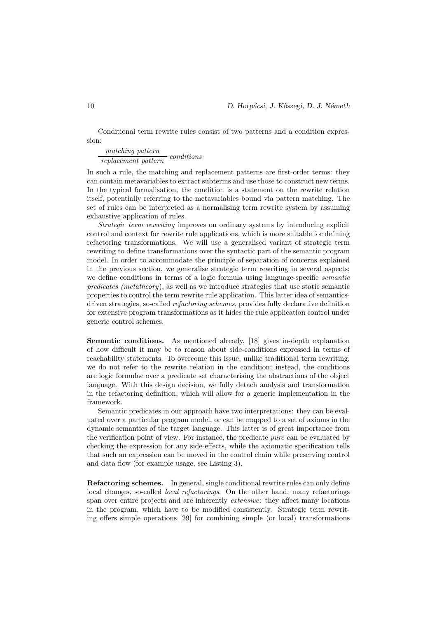Conditional term rewrite rules consist of two patterns and a condition expression:

 $\frac{matching\ pattern}{replacement\ pattern}~conditions$ 

In such a rule, the matching and replacement patterns are first-order terms: they can contain metavariables to extract subterms and use those to construct new terms. In the typical formalisation, the condition is a statement on the rewrite relation itself, potentially referring to the metavariables bound via pattern matching. The set of rules can be interpreted as a normalising term rewrite system by assuming exhaustive application of rules.

Strategic term rewriting improves on ordinary systems by introducing explicit control and context for rewrite rule applications, which is more suitable for defining refactoring transformations. We will use a generalised variant of strategic term rewriting to define transformations over the syntactic part of the semantic program model. In order to accommodate the principle of separation of concerns explained in the previous section, we generalise strategic term rewriting in several aspects: we define conditions in terms of a logic formula using language-specific *semantic* predicates (metatheory), as well as we introduce strategies that use static semantic properties to control the term rewrite rule application. This latter idea of semanticsdriven strategies, so-called refactoring schemes, provides fully declarative definition for extensive program transformations as it hides the rule application control under generic control schemes.

Semantic conditions. As mentioned already, [18] gives in-depth explanation of how difficult it may be to reason about side-conditions expressed in terms of reachability statements. To overcome this issue, unlike traditional term rewriting, we do not refer to the rewrite relation in the condition; instead, the conditions are logic formulae over a predicate set characterising the abstractions of the object language. With this design decision, we fully detach analysis and transformation in the refactoring definition, which will allow for a generic implementation in the framework.

Semantic predicates in our approach have two interpretations: they can be evaluated over a particular program model, or can be mapped to a set of axioms in the dynamic semantics of the target language. This latter is of great importance from the verification point of view. For instance, the predicate pure can be evaluated by checking the expression for any side-effects, while the axiomatic specification tells that such an expression can be moved in the control chain while preserving control and data flow (for example usage, see Listing 3).

Refactoring schemes. In general, single conditional rewrite rules can only define local changes, so-called *local refactorings*. On the other hand, many refactorings span over entire projects and are inherently extensive: they affect many locations in the program, which have to be modified consistently. Strategic term rewriting offers simple operations [29] for combining simple (or local) transformations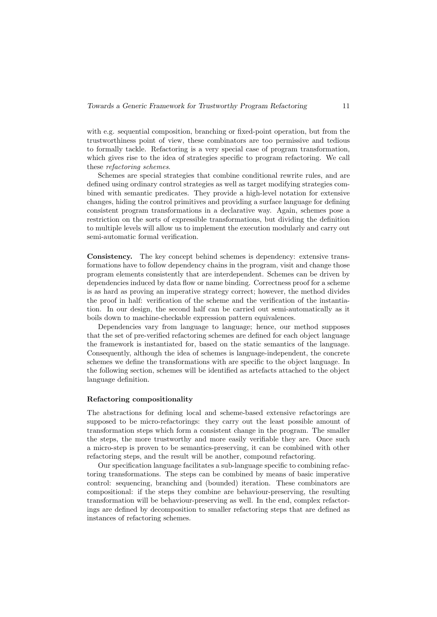with e.g. sequential composition, branching or fixed-point operation, but from the trustworthiness point of view, these combinators are too permissive and tedious to formally tackle. Refactoring is a very special case of program transformation, which gives rise to the idea of strategies specific to program refactoring. We call these refactoring schemes.

Schemes are special strategies that combine conditional rewrite rules, and are defined using ordinary control strategies as well as target modifying strategies combined with semantic predicates. They provide a high-level notation for extensive changes, hiding the control primitives and providing a surface language for defining consistent program transformations in a declarative way. Again, schemes pose a restriction on the sorts of expressible transformations, but dividing the definition to multiple levels will allow us to implement the execution modularly and carry out semi-automatic formal verification.

Consistency. The key concept behind schemes is dependency: extensive transformations have to follow dependency chains in the program, visit and change those program elements consistently that are interdependent. Schemes can be driven by dependencies induced by data flow or name binding. Correctness proof for a scheme is as hard as proving an imperative strategy correct; however, the method divides the proof in half: verification of the scheme and the verification of the instantiation. In our design, the second half can be carried out semi-automatically as it boils down to machine-checkable expression pattern equivalences.

Dependencies vary from language to language; hence, our method supposes that the set of pre-verified refactoring schemes are defined for each object language the framework is instantiated for, based on the static semantics of the language. Consequently, although the idea of schemes is language-independent, the concrete schemes we define the transformations with are specific to the object language. In the following section, schemes will be identified as artefacts attached to the object language definition.

#### Refactoring compositionality

The abstractions for defining local and scheme-based extensive refactorings are supposed to be micro-refactorings: they carry out the least possible amount of transformation steps which form a consistent change in the program. The smaller the steps, the more trustworthy and more easily verifiable they are. Once such a micro-step is proven to be semantics-preserving, it can be combined with other refactoring steps, and the result will be another, compound refactoring.

Our specification language facilitates a sub-language specific to combining refactoring transformations. The steps can be combined by means of basic imperative control: sequencing, branching and (bounded) iteration. These combinators are compositional: if the steps they combine are behaviour-preserving, the resulting transformation will be behaviour-preserving as well. In the end, complex refactorings are defined by decomposition to smaller refactoring steps that are defined as instances of refactoring schemes.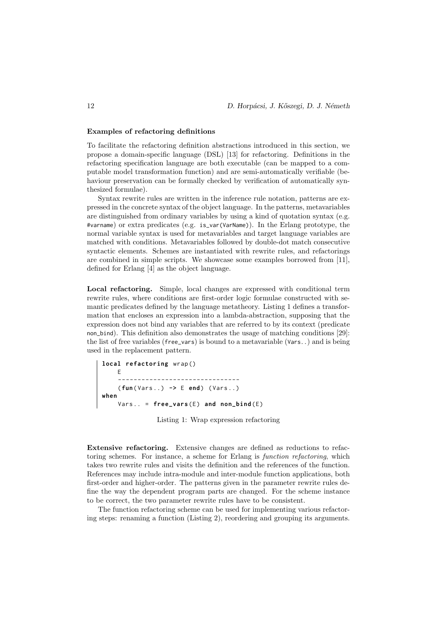#### Examples of refactoring definitions

To facilitate the refactoring definition abstractions introduced in this section, we propose a domain-specific language (DSL) [13] for refactoring. Definitions in the refactoring specification language are both executable (can be mapped to a computable model transformation function) and are semi-automatically verifiable (behaviour preservation can be formally checked by verification of automatically synthesized formulae).

Syntax rewrite rules are written in the inference rule notation, patterns are expressed in the concrete syntax of the object language. In the patterns, metavariables are distinguished from ordinary variables by using a kind of quotation syntax (e.g. #varname) or extra predicates (e.g. is\_var(VarName)). In the Erlang prototype, the normal variable syntax is used for metavariables and target language variables are matched with conditions. Metavariables followed by double-dot match consecutive syntactic elements. Schemes are instantiated with rewrite rules, and refactorings are combined in simple scripts. We showcase some examples borrowed from [11], defined for Erlang [4] as the object language.

Local refactoring. Simple, local changes are expressed with conditional term rewrite rules, where conditions are first-order logic formulae constructed with semantic predicates defined by the language metatheory. Listing 1 defines a transformation that encloses an expression into a lambda-abstraction, supposing that the expression does not bind any variables that are referred to by its context (predicate non\_bind). This definition also demonstrates the usage of matching conditions [29]: the list of free variables (free\_vars) is bound to a metavariable (Vars..) and is being used in the replacement pattern.

```
local refactoring wrap ()
    E
    -------------------------------
    ( fun ( Vars ..) -> E end ) ( Vars ..)
when
    Vars.. = free_vars(E) and non_bind(E)
```
Listing 1: Wrap expression refactoring

Extensive refactoring. Extensive changes are defined as reductions to refactoring schemes. For instance, a scheme for Erlang is function refactoring, which takes two rewrite rules and visits the definition and the references of the function. References may include intra-module and inter-module function applications, both first-order and higher-order. The patterns given in the parameter rewrite rules define the way the dependent program parts are changed. For the scheme instance to be correct, the two parameter rewrite rules have to be consistent.

The function refactoring scheme can be used for implementing various refactoring steps: renaming a function (Listing 2), reordering and grouping its arguments.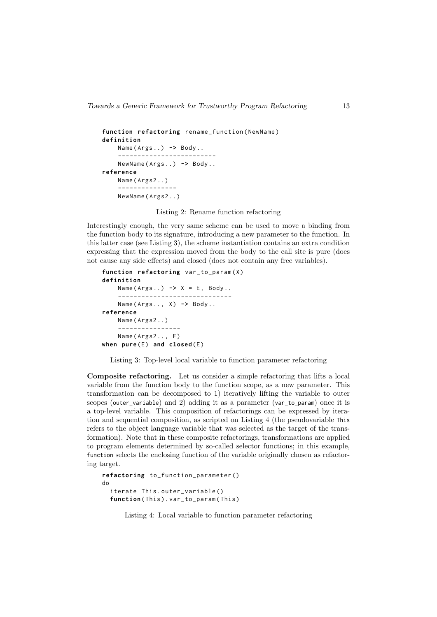```
function refactoring rename_function ( NewName )
definition
    Name ( Args ..) -> Body ..
    -------------------------
    NewName ( Args ..) -> Body ..
reference
    Name ( Args2 ..)
    ---------------
    NewName ( Args2 ..)
```
Listing 2: Rename function refactoring

Interestingly enough, the very same scheme can be used to move a binding from the function body to its signature, introducing a new parameter to the function. In this latter case (see Listing 3), the scheme instantiation contains an extra condition expressing that the expression moved from the body to the call site is pure (does not cause any side effects) and closed (does not contain any free variables).

```
function refactoring var_to_param (X)
definition
    Name ( Args ..) -> X = E , Body ..
     -----------------------------
    Name ( Args .. , X ) -> Body ..
reference
    Name ( Args2 ..)
     ----------------
    Name (Args2.., E)
when pure(E) and closed(E)
```
Listing 3: Top-level local variable to function parameter refactoring

Composite refactoring. Let us consider a simple refactoring that lifts a local variable from the function body to the function scope, as a new parameter. This transformation can be decomposed to 1) iteratively lifting the variable to outer scopes (outer\_variable) and 2) adding it as a parameter (var\_to\_param) once it is a top-level variable. This composition of refactorings can be expressed by iteration and sequential composition, as scripted on Listing 4 (the pseudovariable This refers to the object language variable that was selected as the target of the transformation). Note that in these composite refactorings, transformations are applied to program elements determined by so-called selector functions; in this example, function selects the enclosing function of the variable originally chosen as refactoring target.

```
refactoring to_function_parameter ()
do
  iterate This . outer_variable ()
  function(This).var_to_param(This)
```
Listing 4: Local variable to function parameter refactoring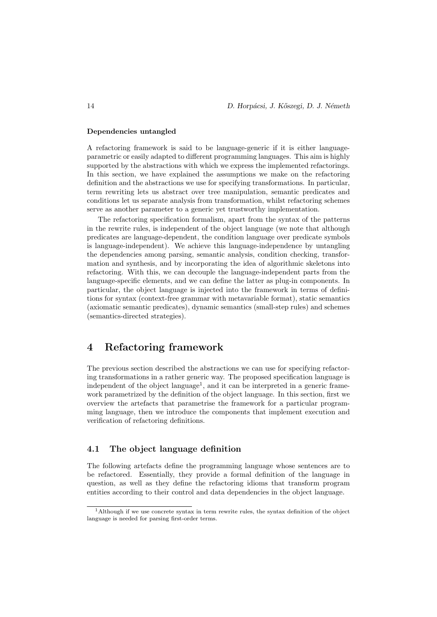### Dependencies untangled

A refactoring framework is said to be language-generic if it is either languageparametric or easily adapted to different programming languages. This aim is highly supported by the abstractions with which we express the implemented refactorings. In this section, we have explained the assumptions we make on the refactoring definition and the abstractions we use for specifying transformations. In particular, term rewriting lets us abstract over tree manipulation, semantic predicates and conditions let us separate analysis from transformation, whilst refactoring schemes serve as another parameter to a generic yet trustworthy implementation.

The refactoring specification formalism, apart from the syntax of the patterns in the rewrite rules, is independent of the object language (we note that although predicates are language-dependent, the condition language over predicate symbols is language-independent). We achieve this language-independence by untangling the dependencies among parsing, semantic analysis, condition checking, transformation and synthesis, and by incorporating the idea of algorithmic skeletons into refactoring. With this, we can decouple the language-independent parts from the language-specific elements, and we can define the latter as plug-in components. In particular, the object language is injected into the framework in terms of definitions for syntax (context-free grammar with metavariable format), static semantics (axiomatic semantic predicates), dynamic semantics (small-step rules) and schemes (semantics-directed strategies).

# 4 Refactoring framework

The previous section described the abstractions we can use for specifying refactoring transformations in a rather generic way. The proposed specification language is independent of the object language<sup>1</sup>, and it can be interpreted in a generic framework parametrized by the definition of the object language. In this section, first we overview the artefacts that parametrise the framework for a particular programming language, then we introduce the components that implement execution and verification of refactoring definitions.

# 4.1 The object language definition

The following artefacts define the programming language whose sentences are to be refactored. Essentially, they provide a formal definition of the language in question, as well as they define the refactoring idioms that transform program entities according to their control and data dependencies in the object language.

<sup>1</sup>Although if we use concrete syntax in term rewrite rules, the syntax definition of the object language is needed for parsing first-order terms.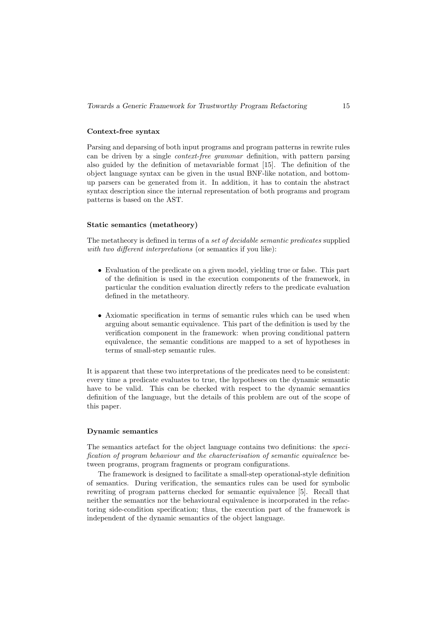### Context-free syntax

Parsing and deparsing of both input programs and program patterns in rewrite rules can be driven by a single context-free grammar definition, with pattern parsing also guided by the definition of metavariable format [15]. The definition of the object language syntax can be given in the usual BNF-like notation, and bottomup parsers can be generated from it. In addition, it has to contain the abstract syntax description since the internal representation of both programs and program patterns is based on the AST.

#### Static semantics (metatheory)

The metatheory is defined in terms of a *set of decidable semantic predicates* supplied with two different interpretations (or semantics if you like):

- Evaluation of the predicate on a given model, yielding true or false. This part of the definition is used in the execution components of the framework, in particular the condition evaluation directly refers to the predicate evaluation defined in the metatheory.
- Axiomatic specification in terms of semantic rules which can be used when arguing about semantic equivalence. This part of the definition is used by the verification component in the framework: when proving conditional pattern equivalence, the semantic conditions are mapped to a set of hypotheses in terms of small-step semantic rules.

It is apparent that these two interpretations of the predicates need to be consistent: every time a predicate evaluates to true, the hypotheses on the dynamic semantic have to be valid. This can be checked with respect to the dynamic semantics definition of the language, but the details of this problem are out of the scope of this paper.

#### Dynamic semantics

The semantics artefact for the object language contains two definitions: the specification of program behaviour and the characterisation of semantic equivalence between programs, program fragments or program configurations.

The framework is designed to facilitate a small-step operational-style definition of semantics. During verification, the semantics rules can be used for symbolic rewriting of program patterns checked for semantic equivalence [5]. Recall that neither the semantics nor the behavioural equivalence is incorporated in the refactoring side-condition specification; thus, the execution part of the framework is independent of the dynamic semantics of the object language.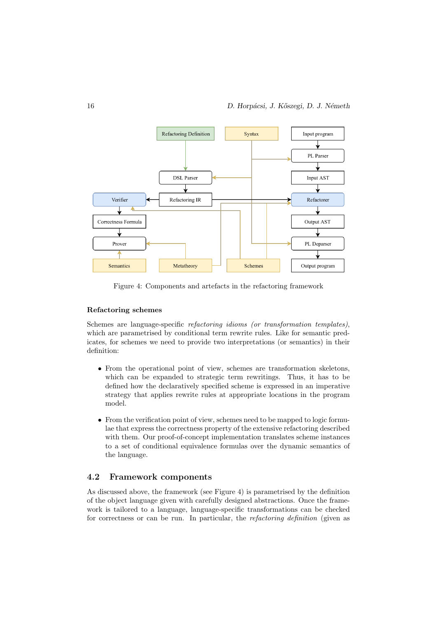

Figure 4: Components and artefacts in the refactoring framework

# Refactoring schemes

Schemes are language-specific refactoring idioms (or transformation templates), which are parametrised by conditional term rewrite rules. Like for semantic predicates, for schemes we need to provide two interpretations (or semantics) in their definition:

- From the operational point of view, schemes are transformation skeletons, which can be expanded to strategic term rewritings. Thus, it has to be defined how the declaratively specified scheme is expressed in an imperative strategy that applies rewrite rules at appropriate locations in the program model.
- From the verification point of view, schemes need to be mapped to logic formulae that express the correctness property of the extensive refactoring described with them. Our proof-of-concept implementation translates scheme instances to a set of conditional equivalence formulas over the dynamic semantics of the language.

# 4.2 Framework components

As discussed above, the framework (see Figure 4) is parametrised by the definition of the object language given with carefully designed abstractions. Once the framework is tailored to a language, language-specific transformations can be checked for correctness or can be run. In particular, the refactoring definition (given as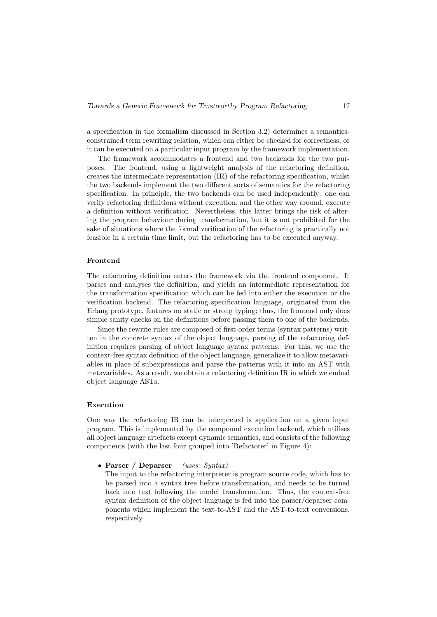a specification in the formalism discussed in Section 3.2) determines a semanticsconstrained term rewriting relation, which can either be checked for correctness, or it can be executed on a particular input program by the framework implementation.

The framework accommodates a frontend and two backends for the two purposes. The frontend, using a lightweight analysis of the refactoring definition, creates the intermediate representation (IR) of the refactoring specification, whilst the two backends implement the two different sorts of semantics for the refactoring specification. In principle, the two backends can be used independently: one can verify refactoring definitions without execution, and the other way around, execute a definition without verification. Nevertheless, this latter brings the risk of altering the program behaviour during transformation, but it is not prohibited for the sake of situations where the formal verification of the refactoring is practically not feasible in a certain time limit, but the refactoring has to be executed anyway.

#### Frontend

The refactoring definition enters the framework via the frontend component. It parses and analyses the definition, and yields an intermediate representation for the transformation specification which can be fed into either the execution or the verification backend. The refactoring specification language, originated from the Erlang prototype, features no static or strong typing; thus, the frontend only does simple sanity checks on the definitions before passing them to one of the backends.

Since the rewrite rules are composed of first-order terms (syntax patterns) written in the concrete syntax of the object language, parsing of the refactoring definition requires parsing of object language syntax patterns. For this, we use the context-free syntax definition of the object language, generalize it to allow metavariables in place of subexpressions and parse the patterns with it into an AST with metavariables. As a result, we obtain a refactoring definition IR in which we embed object language ASTs.

#### Execution

One way the refactoring IR can be interpreted is application on a given input program. This is implemented by the compound execution backend, which utilises all object language artefacts except dynamic semantics, and consists of the following components (with the last four grouped into 'Refactorer' in Figure 4):

• Parser / Deparser (uses: Syntax)

The input to the refactoring interpreter is program source code, which has to be parsed into a syntax tree before transformation, and needs to be turned back into text following the model transformation. Thus, the context-free syntax definition of the object language is fed into the parser/deparser components which implement the text-to-AST and the AST-to-text conversions, respectively.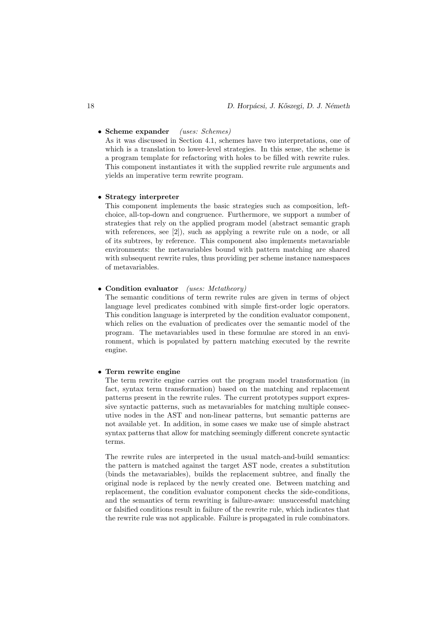# • Scheme expander (uses: Schemes)

As it was discussed in Section 4.1, schemes have two interpretations, one of which is a translation to lower-level strategies. In this sense, the scheme is a program template for refactoring with holes to be filled with rewrite rules. This component instantiates it with the supplied rewrite rule arguments and yields an imperative term rewrite program.

#### • Strategy interpreter

This component implements the basic strategies such as composition, leftchoice, all-top-down and congruence. Furthermore, we support a number of strategies that rely on the applied program model (abstract semantic graph with references, see [2]), such as applying a rewrite rule on a node, or all of its subtrees, by reference. This component also implements metavariable environments: the metavariables bound with pattern matching are shared with subsequent rewrite rules, thus providing per scheme instance namespaces of metavariables.

#### • Condition evaluator (uses: Metatheory)

The semantic conditions of term rewrite rules are given in terms of object language level predicates combined with simple first-order logic operators. This condition language is interpreted by the condition evaluator component, which relies on the evaluation of predicates over the semantic model of the program. The metavariables used in these formulae are stored in an environment, which is populated by pattern matching executed by the rewrite engine.

#### • Term rewrite engine

The term rewrite engine carries out the program model transformation (in fact, syntax term transformation) based on the matching and replacement patterns present in the rewrite rules. The current prototypes support expressive syntactic patterns, such as metavariables for matching multiple consecutive nodes in the AST and non-linear patterns, but semantic patterns are not available yet. In addition, in some cases we make use of simple abstract syntax patterns that allow for matching seemingly different concrete syntactic terms.

The rewrite rules are interpreted in the usual match-and-build semantics: the pattern is matched against the target AST node, creates a substitution (binds the metavariables), builds the replacement subtree, and finally the original node is replaced by the newly created one. Between matching and replacement, the condition evaluator component checks the side-conditions, and the semantics of term rewriting is failure-aware: unsuccessful matching or falsified conditions result in failure of the rewrite rule, which indicates that the rewrite rule was not applicable. Failure is propagated in rule combinators.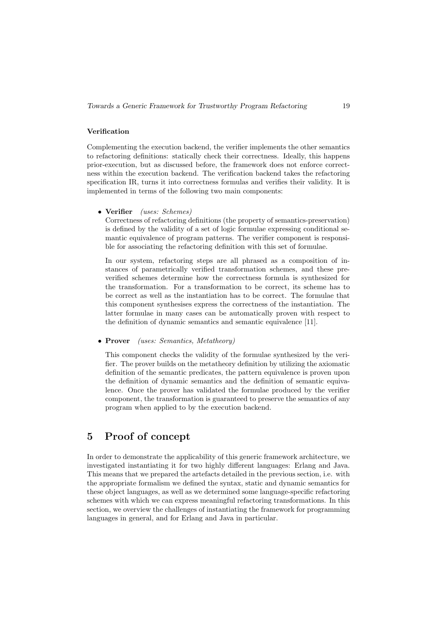### Verification

Complementing the execution backend, the verifier implements the other semantics to refactoring definitions: statically check their correctness. Ideally, this happens prior-execution, but as discussed before, the framework does not enforce correctness within the execution backend. The verification backend takes the refactoring specification IR, turns it into correctness formulas and verifies their validity. It is implemented in terms of the following two main components:

• Verifier (uses: Schemes)

Correctness of refactoring definitions (the property of semantics-preservation) is defined by the validity of a set of logic formulae expressing conditional semantic equivalence of program patterns. The verifier component is responsible for associating the refactoring definition with this set of formulae.

In our system, refactoring steps are all phrased as a composition of instances of parametrically verified transformation schemes, and these preverified schemes determine how the correctness formula is synthesized for the transformation. For a transformation to be correct, its scheme has to be correct as well as the instantiation has to be correct. The formulae that this component synthesises express the correctness of the instantiation. The latter formulae in many cases can be automatically proven with respect to the definition of dynamic semantics and semantic equivalence [11].

• Prover (uses: Semantics, Metatheory)

This component checks the validity of the formulae synthesized by the verifier. The prover builds on the metatheory definition by utilizing the axiomatic definition of the semantic predicates, the pattern equivalence is proven upon the definition of dynamic semantics and the definition of semantic equivalence. Once the prover has validated the formulae produced by the verifier component, the transformation is guaranteed to preserve the semantics of any program when applied to by the execution backend.

# 5 Proof of concept

In order to demonstrate the applicability of this generic framework architecture, we investigated instantiating it for two highly different languages: Erlang and Java. This means that we prepared the artefacts detailed in the previous section, i.e. with the appropriate formalism we defined the syntax, static and dynamic semantics for these object languages, as well as we determined some language-specific refactoring schemes with which we can express meaningful refactoring transformations. In this section, we overview the challenges of instantiating the framework for programming languages in general, and for Erlang and Java in particular.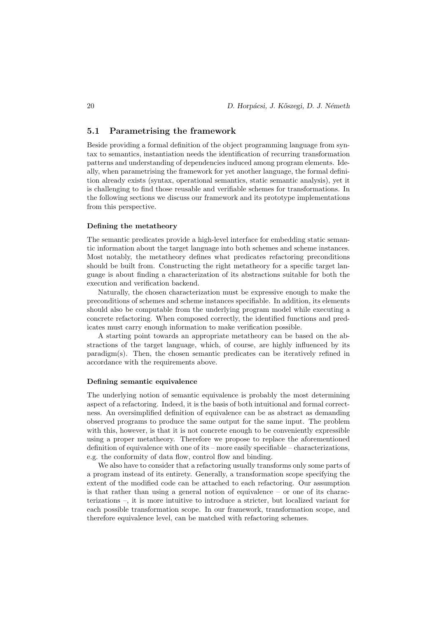# 5.1 Parametrising the framework

Beside providing a formal definition of the object programming language from syntax to semantics, instantiation needs the identification of recurring transformation patterns and understanding of dependencies induced among program elements. Ideally, when parametrising the framework for yet another language, the formal definition already exists (syntax, operational semantics, static semantic analysis), yet it is challenging to find those reusable and verifiable schemes for transformations. In the following sections we discuss our framework and its prototype implementations from this perspective.

#### Defining the metatheory

The semantic predicates provide a high-level interface for embedding static semantic information about the target language into both schemes and scheme instances. Most notably, the metatheory defines what predicates refactoring preconditions should be built from. Constructing the right metatheory for a specific target language is about finding a characterization of its abstractions suitable for both the execution and verification backend.

Naturally, the chosen characterization must be expressive enough to make the preconditions of schemes and scheme instances specifiable. In addition, its elements should also be computable from the underlying program model while executing a concrete refactoring. When composed correctly, the identified functions and predicates must carry enough information to make verification possible.

A starting point towards an appropriate metatheory can be based on the abstractions of the target language, which, of course, are highly influenced by its paradigm(s). Then, the chosen semantic predicates can be iteratively refined in accordance with the requirements above.

#### Defining semantic equivalence

The underlying notion of semantic equivalence is probably the most determining aspect of a refactoring. Indeed, it is the basis of both intuitional and formal correctness. An oversimplified definition of equivalence can be as abstract as demanding observed programs to produce the same output for the same input. The problem with this, however, is that it is not concrete enough to be conveniently expressible using a proper metatheory. Therefore we propose to replace the aforementioned definition of equivalence with one of its – more easily specifiable – characterizations, e.g. the conformity of data flow, control flow and binding.

We also have to consider that a refactoring usually transforms only some parts of a program instead of its entirety. Generally, a transformation scope specifying the extent of the modified code can be attached to each refactoring. Our assumption is that rather than using a general notion of equivalence – or one of its characterizations –, it is more intuitive to introduce a stricter, but localized variant for each possible transformation scope. In our framework, transformation scope, and therefore equivalence level, can be matched with refactoring schemes.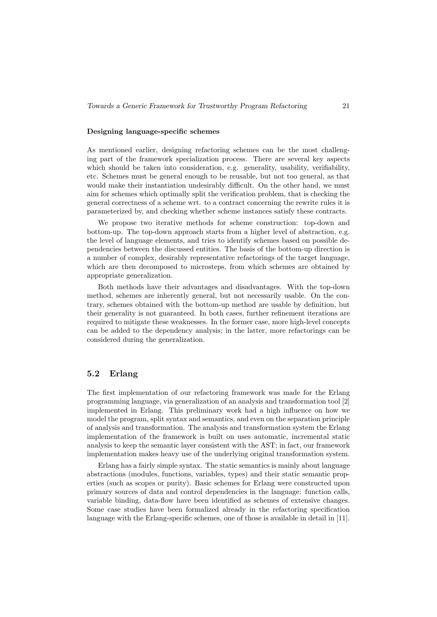#### Designing language-specific schemes

As mentioned earlier, designing refactoring schemes can be the most challenging part of the framework specialization process. There are several key aspects which should be taken into consideration, e.g. generality, usability, verifiability, etc. Schemes must be general enough to be reusable, but not too general, as that would make their instantiation undesirably difficult. On the other hand, we must aim for schemes which optimally split the verification problem, that is checking the general correctness of a scheme wrt. to a contract concerning the rewrite rules it is parameterized by, and checking whether scheme instances satisfy these contracts.

We propose two iterative methods for scheme construction: top-down and bottom-up. The top-down approach starts from a higher level of abstraction, e.g. the level of language elements, and tries to identify schemes based on possible dependencies between the discussed entities. The basis of the bottom-up direction is a number of complex, desirably representative refactorings of the target language, which are then decomposed to microsteps, from which schemes are obtained by appropriate generalization.

Both methods have their advantages and disadvantages. With the top-down method, schemes are inherently general, but not necessarily usable. On the contrary, schemes obtained with the bottom-up method are usable by definition, but their generality is not guaranteed. In both cases, further refinement iterations are required to mitigate these weaknesses. In the former case, more high-level concepts can be added to the dependency analysis; in the latter, more refactorings can be considered during the generalization.

# 5.2 Erlang

The first implementation of our refactoring framework was made for the Erlang programming language, via generalization of an analysis and transformation tool [2] implemented in Erlang. This preliminary work had a high influence on how we model the program, split syntax and semantics, and even on the separation principle of analysis and transformation. The analysis and transformation system the Erlang implementation of the framework is built on uses automatic, incremental static analysis to keep the semantic layer consistent with the AST; in fact, our framework implementation makes heavy use of the underlying original transformation system.

Erlang has a fairly simple syntax. The static semantics is mainly about language abstractions (modules, functions, variables, types) and their static semantic properties (such as scopes or purity). Basic schemes for Erlang were constructed upon primary sources of data and control dependencies in the language: function calls, variable binding, data-flow have been identified as schemes of extensive changes. Some case studies have been formalized already in the refactoring specification language with the Erlang-specific schemes, one of those is available in detail in [11].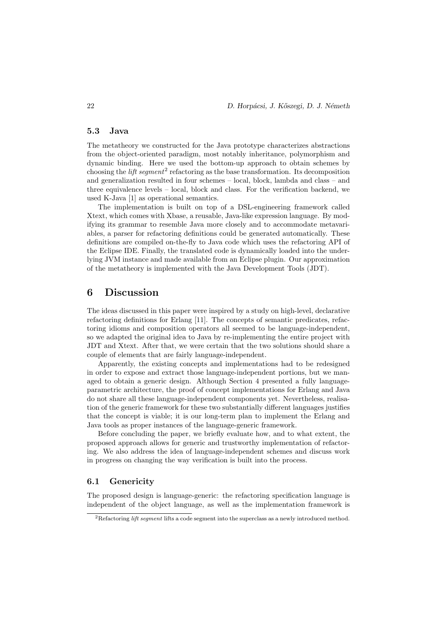# 5.3 Java

The metatheory we constructed for the Java prototype characterizes abstractions from the object-oriented paradigm, most notably inheritance, polymorphism and dynamic binding. Here we used the bottom-up approach to obtain schemes by choosing the *lift segment*<sup>2</sup> refactoring as the base transformation. Its decomposition and generalization resulted in four schemes – local, block, lambda and class – and three equivalence levels – local, block and class. For the verification backend, we used K-Java [1] as operational semantics.

The implementation is built on top of a DSL-engineering framework called Xtext, which comes with Xbase, a reusable, Java-like expression language. By modifying its grammar to resemble Java more closely and to accommodate metavariables, a parser for refactoring definitions could be generated automatically. These definitions are compiled on-the-fly to Java code which uses the refactoring API of the Eclipse IDE. Finally, the translated code is dynamically loaded into the underlying JVM instance and made available from an Eclipse plugin. Our approximation of the metatheory is implemented with the Java Development Tools (JDT).

# 6 Discussion

The ideas discussed in this paper were inspired by a study on high-level, declarative refactoring definitions for Erlang [11]. The concepts of semantic predicates, refactoring idioms and composition operators all seemed to be language-independent, so we adapted the original idea to Java by re-implementing the entire project with JDT and Xtext. After that, we were certain that the two solutions should share a couple of elements that are fairly language-independent.

Apparently, the existing concepts and implementations had to be redesigned in order to expose and extract those language-independent portions, but we managed to obtain a generic design. Although Section 4 presented a fully languageparametric architecture, the proof of concept implementations for Erlang and Java do not share all these language-independent components yet. Nevertheless, realisation of the generic framework for these two substantially different languages justifies that the concept is viable; it is our long-term plan to implement the Erlang and Java tools as proper instances of the language-generic framework.

Before concluding the paper, we briefly evaluate how, and to what extent, the proposed approach allows for generic and trustworthy implementation of refactoring. We also address the idea of language-independent schemes and discuss work in progress on changing the way verification is built into the process.

### 6.1 Genericity

The proposed design is language-generic: the refactoring specification language is independent of the object language, as well as the implementation framework is

<sup>&</sup>lt;sup>2</sup>Refactoring *lift segment* lifts a code segment into the superclass as a newly introduced method.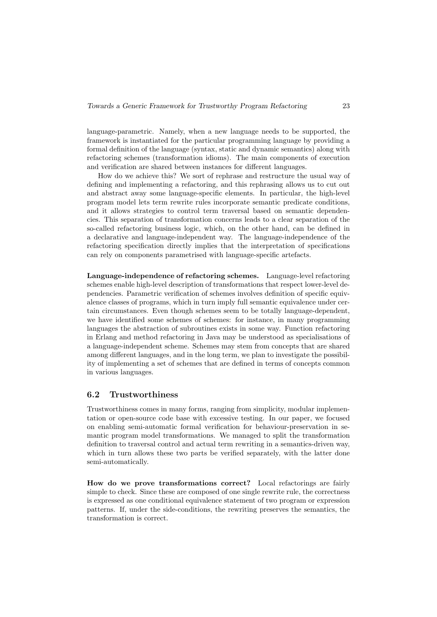language-parametric. Namely, when a new language needs to be supported, the framework is instantiated for the particular programming language by providing a formal definition of the language (syntax, static and dynamic semantics) along with refactoring schemes (transformation idioms). The main components of execution and verification are shared between instances for different languages.

How do we achieve this? We sort of rephrase and restructure the usual way of defining and implementing a refactoring, and this rephrasing allows us to cut out and abstract away some language-specific elements. In particular, the high-level program model lets term rewrite rules incorporate semantic predicate conditions, and it allows strategies to control term traversal based on semantic dependencies. This separation of transformation concerns leads to a clear separation of the so-called refactoring business logic, which, on the other hand, can be defined in a declarative and language-independent way. The language-independence of the refactoring specification directly implies that the interpretation of specifications can rely on components parametrised with language-specific artefacts.

Language-independence of refactoring schemes. Language-level refactoring schemes enable high-level description of transformations that respect lower-level dependencies. Parametric verification of schemes involves definition of specific equivalence classes of programs, which in turn imply full semantic equivalence under certain circumstances. Even though schemes seem to be totally language-dependent, we have identified some schemes of schemes: for instance, in many programming languages the abstraction of subroutines exists in some way. Function refactoring in Erlang and method refactoring in Java may be understood as specialisations of a language-independent scheme. Schemes may stem from concepts that are shared among different languages, and in the long term, we plan to investigate the possibility of implementing a set of schemes that are defined in terms of concepts common in various languages.

### 6.2 Trustworthiness

Trustworthiness comes in many forms, ranging from simplicity, modular implementation or open-source code base with excessive testing. In our paper, we focused on enabling semi-automatic formal verification for behaviour-preservation in semantic program model transformations. We managed to split the transformation definition to traversal control and actual term rewriting in a semantics-driven way, which in turn allows these two parts be verified separately, with the latter done semi-automatically.

How do we prove transformations correct? Local refactorings are fairly simple to check. Since these are composed of one single rewrite rule, the correctness is expressed as one conditional equivalence statement of two program or expression patterns. If, under the side-conditions, the rewriting preserves the semantics, the transformation is correct.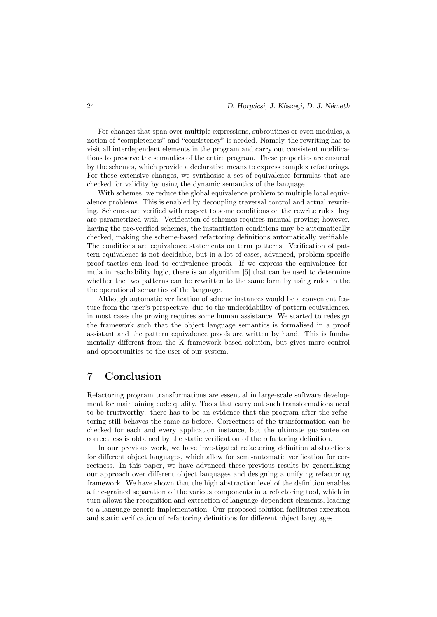For changes that span over multiple expressions, subroutines or even modules, a notion of "completeness" and "consistency" is needed. Namely, the rewriting has to visit all interdependent elements in the program and carry out consistent modifications to preserve the semantics of the entire program. These properties are ensured by the schemes, which provide a declarative means to express complex refactorings. For these extensive changes, we synthesise a set of equivalence formulas that are checked for validity by using the dynamic semantics of the language.

With schemes, we reduce the global equivalence problem to multiple local equivalence problems. This is enabled by decoupling traversal control and actual rewriting. Schemes are verified with respect to some conditions on the rewrite rules they are parametrized with. Verification of schemes requires manual proving; however, having the pre-verified schemes, the instantiation conditions may be automatically checked, making the scheme-based refactoring definitions automatically verifiable. The conditions are equivalence statements on term patterns. Verification of pattern equivalence is not decidable, but in a lot of cases, advanced, problem-specific proof tactics can lead to equivalence proofs. If we express the equivalence formula in reachability logic, there is an algorithm [5] that can be used to determine whether the two patterns can be rewritten to the same form by using rules in the the operational semantics of the language.

Although automatic verification of scheme instances would be a convenient feature from the user's perspective, due to the undecidability of pattern equivalences, in most cases the proving requires some human assistance. We started to redesign the framework such that the object language semantics is formalised in a proof assistant and the pattern equivalence proofs are written by hand. This is fundamentally different from the K framework based solution, but gives more control and opportunities to the user of our system.

# 7 Conclusion

Refactoring program transformations are essential in large-scale software development for maintaining code quality. Tools that carry out such transformations need to be trustworthy: there has to be an evidence that the program after the refactoring still behaves the same as before. Correctness of the transformation can be checked for each and every application instance, but the ultimate guarantee on correctness is obtained by the static verification of the refactoring definition.

In our previous work, we have investigated refactoring definition abstractions for different object languages, which allow for semi-automatic verification for correctness. In this paper, we have advanced these previous results by generalising our approach over different object languages and designing a unifying refactoring framework. We have shown that the high abstraction level of the definition enables a fine-grained separation of the various components in a refactoring tool, which in turn allows the recognition and extraction of language-dependent elements, leading to a language-generic implementation. Our proposed solution facilitates execution and static verification of refactoring definitions for different object languages.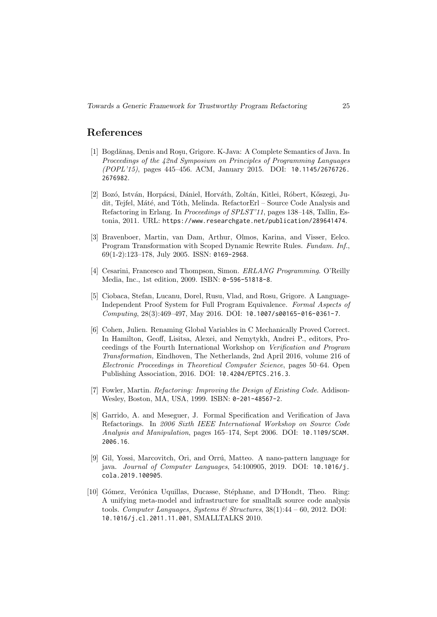# References

- [1] Bogdănaş, Denis and Roşu, Grigore. K-Java: A Complete Semantics of Java. In Proceedings of the 42nd Symposium on Principles of Programming Languages (POPL'15), pages 445–456. ACM, January 2015. DOI: 10.1145/2676726. 2676982.
- [2] Bozó, István, Horpácsi, Dániel, Horváth, Zoltán, Kitlei, Róbert, Kőszegi, Judit, Tejfel, Máté, and Tóth, Melinda. RefactorErl – Source Code Analysis and Refactoring in Erlang. In Proceedings of SPLST'11, pages 138–148, Tallin, Estonia, 2011. URL: https://www.researchgate.net/publication/289641474.
- [3] Bravenboer, Martin, van Dam, Arthur, Olmos, Karina, and Visser, Eelco. Program Transformation with Scoped Dynamic Rewrite Rules. Fundam. Inf., 69(1-2):123–178, July 2005. ISSN: 0169-2968.
- [4] Cesarini, Francesco and Thompson, Simon. *ERLANG Programming*. O'Reilly Media, Inc., 1st edition, 2009. ISBN: 0-596-51818-8.
- [5] Ciobaca, Stefan, Lucanu, Dorel, Rusu, Vlad, and Rosu, Grigore. A Language-Independent Proof System for Full Program Equivalence. Formal Aspects of Computing, 28(3):469–497, May 2016. DOI: 10.1007/s00165-016-0361-7.
- [6] Cohen, Julien. Renaming Global Variables in C Mechanically Proved Correct. In Hamilton, Geoff, Lisitsa, Alexei, and Nemytykh, Andrei P., editors, Proceedings of the Fourth International Workshop on Verification and Program Transformation, Eindhoven, The Netherlands, 2nd April 2016, volume 216 of Electronic Proceedings in Theoretical Computer Science, pages 50–64. Open Publishing Association, 2016. DOI: 10.4204/EPTCS.216.3.
- [7] Fowler, Martin. *Refactoring: Improving the Design of Existing Code*. Addison-Wesley, Boston, MA, USA, 1999. ISBN: 0-201-48567-2.
- [8] Garrido, A. and Meseguer, J. Formal Specification and Verification of Java Refactorings. In 2006 Sixth IEEE International Workshop on Source Code Analysis and Manipulation, pages 165–174, Sept 2006. DOI: 10.1109/SCAM. 2006.16.
- [9] Gil, Yossi, Marcovitch, Ori, and Orrú, Matteo. A nano-pattern language for java. Journal of Computer Languages, 54:100905, 2019. DOI: 10.1016/j. cola.2019.100905.
- [10] Gómez, Verónica Uquillas, Ducasse, Stéphane, and D'Hondt, Theo. Ring: A unifying meta-model and infrastructure for smalltalk source code analysis tools. Computer Languages, Systems & Structures,  $38(1):44-60$ ,  $2012$ . DOI: 10.1016/j.cl.2011.11.001, SMALLTALKS 2010.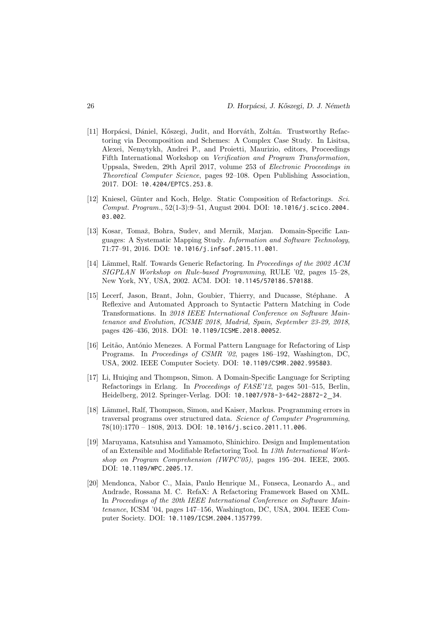- [11] Horpácsi, Dániel, Kőszegi, Judit, and Horváth, Zoltán. Trustworthy Refactoring via Decomposition and Schemes: A Complex Case Study. In Lisitsa, Alexei, Nemytykh, Andrei P., and Proietti, Maurizio, editors, Proceedings Fifth International Workshop on Verification and Program Transformation, Uppsala, Sweden, 29th April 2017, volume 253 of Electronic Proceedings in Theoretical Computer Science, pages 92–108. Open Publishing Association, 2017. DOI: 10.4204/EPTCS.253.8.
- [12] Kniesel, Günter and Koch, Helge. Static Composition of Refactorings. Sci. Comput. Program., 52(1-3):9–51, August 2004. DOI: 10.1016/j.scico.2004. 03.002.
- [13] Kosar, Tomaž, Bohra, Sudev, and Mernik, Marjan. Domain-Specific Languages: A Systematic Mapping Study. Information and Software Technology, 71:77–91, 2016. DOI: 10.1016/j.infsof.2015.11.001.
- [14] Lämmel, Ralf. Towards Generic Refactoring. In *Proceedings of the 2002 ACM* SIGPLAN Workshop on Rule-based Programming, RULE '02, pages 15–28, New York, NY, USA, 2002. ACM. DOI: 10.1145/570186.570188.
- [15] Lecerf, Jason, Brant, John, Goubier, Thierry, and Ducasse, Stéphane. A Reflexive and Automated Approach to Syntactic Pattern Matching in Code Transformations. In 2018 IEEE International Conference on Software Maintenance and Evolution, ICSME 2018, Madrid, Spain, September 23-29, 2018, pages 426–436, 2018. DOI: 10.1109/ICSME.2018.00052.
- [16] Leitão, António Menezes. A Formal Pattern Language for Refactoring of Lisp Programs. In Proceedings of CSMR '02, pages 186–192, Washington, DC, USA, 2002. IEEE Computer Society. DOI: 10.1109/CSMR.2002.995803.
- [17] Li, Huiqing and Thompson, Simon. A Domain-Specific Language for Scripting Refactorings in Erlang. In Proceedings of FASE'12, pages 501–515, Berlin, Heidelberg, 2012. Springer-Verlag. DOI: 10.1007/978-3-642-28872-2 34.
- [18] Lämmel, Ralf, Thompson, Simon, and Kaiser, Markus. Programming errors in traversal programs over structured data. Science of Computer Programming, 78(10):1770 – 1808, 2013. DOI: 10.1016/j.scico.2011.11.006.
- [19] Maruyama, Katsuhisa and Yamamoto, Shinichiro. Design and Implementation of an Extensible and Modifiable Refactoring Tool. In 13th International Workshop on Program Comprehension (IWPC'05), pages 195–204. IEEE, 2005. DOI: 10.1109/WPC.2005.17.
- [20] Mendonca, Nabor C., Maia, Paulo Henrique M., Fonseca, Leonardo A., and Andrade, Rossana M. C. RefaX: A Refactoring Framework Based on XML. In Proceedings of the 20th IEEE International Conference on Software Maintenance, ICSM '04, pages 147–156, Washington, DC, USA, 2004. IEEE Computer Society. DOI: 10.1109/ICSM.2004.1357799.